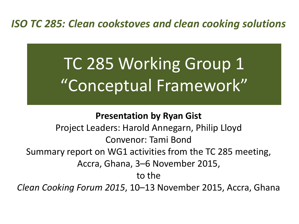### *ISO TC 285: Clean cookstoves and clean cooking solutions*

# TC 285 Working Group 1 "Conceptual Framework"

#### **Presentation by Ryan Gist**

Project Leaders: Harold Annegarn, Philip Lloyd Convenor: Tami Bond Summary report on WG1 activities from the TC 285 meeting, Accra, Ghana, 3–6 November 2015, to the

*Clean Cooking Forum 2015*, 10–13 November 2015, Accra, Ghana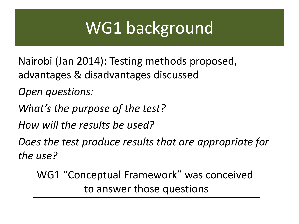## WG1 background

Nairobi (Jan 2014): Testing methods proposed, advantages & disadvantages discussed

*Open questions:* 

*What's the purpose of the test?* 

*How will the results be used?* 

*Does the test produce results that are appropriate for the use?*

WG1 "Conceptual Framework" was conceived to answer those questions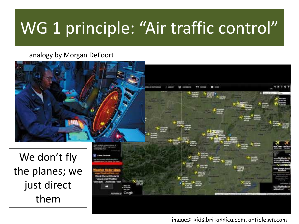## WG 1 principle: "Air traffic control"

analogy by Morgan DeFoort



images: kids.britannica.com, article.wn.com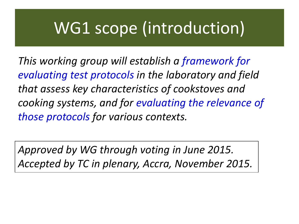### WG1 scope (introduction)

*This working group will establish a framework for evaluating test protocols in the laboratory and field that assess key characteristics of cookstoves and cooking systems, and for evaluating the relevance of those protocols for various contexts.* 

*Approved by WG through voting in June 2015. Accepted by TC in plenary, Accra, November 2015.*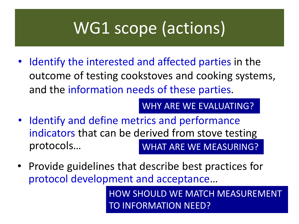## WG1 scope (actions)

• Identify the interested and affected parties in the outcome of testing cookstoves and cooking systems, and the information needs of these parties.

WHY ARE WE EVALUATING?

- Identify and define metrics and performance indicators that can be derived from stove testing protocols… WHAT ARE WE MEASURING?
- Provide guidelines that describe best practices for protocol development and acceptance…

HOW SHOULD WE MATCH MEASUREMENT TO INFORMATION NEED?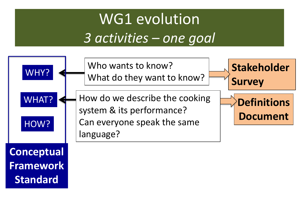### WG1 evolution *3 activities – one goal*

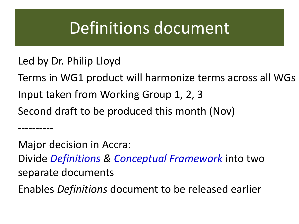### Definitions document

Led by Dr. Philip Lloyd

----------

Terms in WG1 product will harmonize terms across all WGs Input taken from Working Group 1, 2, 3 Second draft to be produced this month (Nov)

Major decision in Accra: Divide *Definitions & Conceptual Framework* into two separate documents

Enables *Definitions* document to be released earlier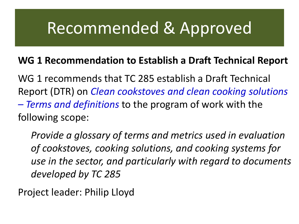### Recommended & Approved

### **WG 1 Recommendation to Establish a Draft Technical Report**

WG 1 recommends that TC 285 establish a Draft Technical Report (DTR) on *Clean cookstoves and clean cooking solutions – Terms and definitions* to the program of work with the following scope:

*Provide a glossary of terms and metrics used in evaluation of cookstoves, cooking solutions, and cooking systems for use in the sector, and particularly with regard to documents developed by TC 285*

Project leader: Philip Lloyd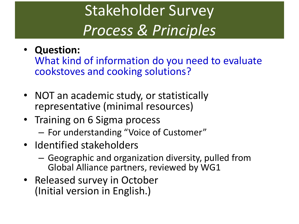## Stakeholder Survey *Process & Principles*

### • **Question:**

What kind of information do you need to evaluate cookstoves and cooking solutions?

- NOT an academic study, or statistically representative (minimal resources)
- Training on 6 Sigma process
	- For understanding "Voice of Customer"
- Identified stakeholders
	- Geographic and organization diversity, pulled from Global Alliance partners, reviewed by WG1
- Released survey in October (Initial version in English.)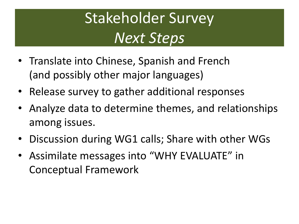### Stakeholder Survey *Next Steps*

- Translate into Chinese, Spanish and French (and possibly other major languages)
- Release survey to gather additional responses
- Analyze data to determine themes, and relationships among issues.
- Discussion during WG1 calls; Share with other WGs
- Assimilate messages into "WHY EVALUATE" in Conceptual Framework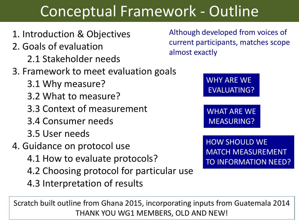### Conceptual Framework - Outline

- 1. Introduction & Objectives
- 2. Goals of evaluation
	- 2.1 Stakeholder needs
- 3. Framework to meet evaluation goals
	- 3.1 Why measure?
	- 3.2 What to measure?
	- 3.3 Context of measurement
	- 3.4 Consumer needs
	- 3.5 User needs
- 4. Guidance on protocol use
	- 4.1 How to evaluate protocols?
	- 4.2 Choosing protocol for particular use
	- 4.3 Interpretation of results

Scratch built outline from Ghana 2015, incorporating inputs from Guatemala 2014 THANK YOU WG1 MEMBERS, OLD AND NEW!

Although developed from voices of current participants, matches scope almost exactly

> WHY ARE WE EVALUATING?

> WHAT ARE WE MEASURING?

HOW SHOULD WE MATCH MEASUREMENT TO INFORMATION NEED?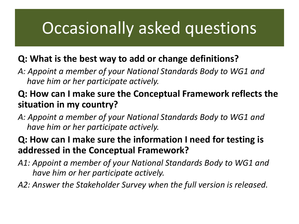### Occasionally asked questions

#### **Q: What is the best way to add or change definitions?**

*A: Appoint a member of your National Standards Body to WG1 and have him or her participate actively.*

#### **Q: How can I make sure the Conceptual Framework reflects the situation in my country?**

*A: Appoint a member of your National Standards Body to WG1 and have him or her participate actively.*

#### **Q: How can I make sure the information I need for testing is addressed in the Conceptual Framework?**

- *A1: Appoint a member of your National Standards Body to WG1 and have him or her participate actively.*
- *A2: Answer the Stakeholder Survey when the full version is released.*